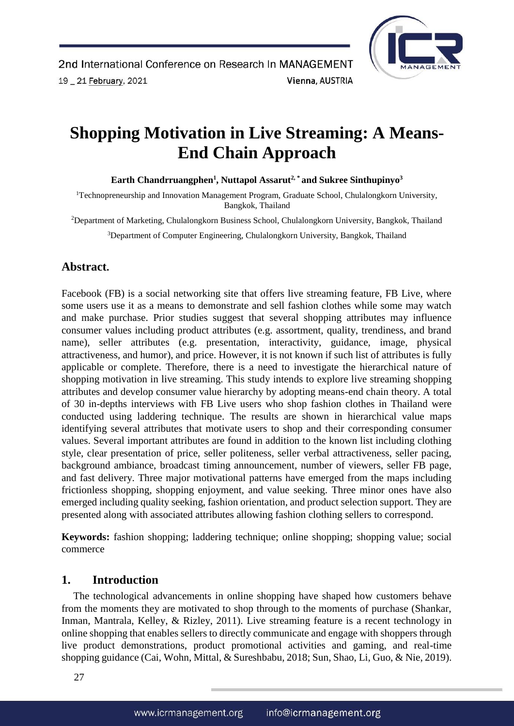

# **Shopping Motivation in Live Streaming: A Means-End Chain Approach**

Earth Chandrruangphen<sup>1</sup>, Nuttapol Assarut<sup>2,\*</sup> and Sukree Sinthupinyo<sup>3</sup>

<sup>1</sup>Technopreneurship and Innovation Management Program, Graduate School, Chulalongkorn University, Bangkok, Thailand

<sup>2</sup>Department of Marketing, Chulalongkorn Business School, Chulalongkorn University, Bangkok, Thailand

<sup>3</sup>Department of Computer Engineering, Chulalongkorn University, Bangkok, Thailand

# **Abstract.**

Facebook (FB) is a social networking site that offers live streaming feature, FB Live, where some users use it as a means to demonstrate and sell fashion clothes while some may watch and make purchase. Prior studies suggest that several shopping attributes may influence consumer values including product attributes (e.g. assortment, quality, trendiness, and brand name), seller attributes (e.g. presentation, interactivity, guidance, image, physical attractiveness, and humor), and price. However, it is not known if such list of attributes is fully applicable or complete. Therefore, there is a need to investigate the hierarchical nature of shopping motivation in live streaming. This study intends to explore live streaming shopping attributes and develop consumer value hierarchy by adopting means-end chain theory. A total of 30 in-depths interviews with FB Live users who shop fashion clothes in Thailand were conducted using laddering technique. The results are shown in hierarchical value maps identifying several attributes that motivate users to shop and their corresponding consumer values. Several important attributes are found in addition to the known list including clothing style, clear presentation of price, seller politeness, seller verbal attractiveness, seller pacing, background ambiance, broadcast timing announcement, number of viewers, seller FB page, and fast delivery. Three major motivational patterns have emerged from the maps including frictionless shopping, shopping enjoyment, and value seeking. Three minor ones have also emerged including quality seeking, fashion orientation, and product selection support. They are presented along with associated attributes allowing fashion clothing sellers to correspond.

**Keywords:** fashion shopping; laddering technique; online shopping; shopping value; social commerce

# **1. Introduction**

The technological advancements in online shopping have shaped how customers behave from the moments they are motivated to shop through to the moments of purchase (Shankar, Inman, Mantrala, Kelley, & Rizley, 2011). Live streaming feature is a recent technology in online shopping that enables sellers to directly communicate and engage with shoppers through live product demonstrations, product promotional activities and gaming, and real-time shopping guidance (Cai, Wohn, Mittal, & Sureshbabu, 2018; Sun, Shao, Li, Guo, & Nie, 2019).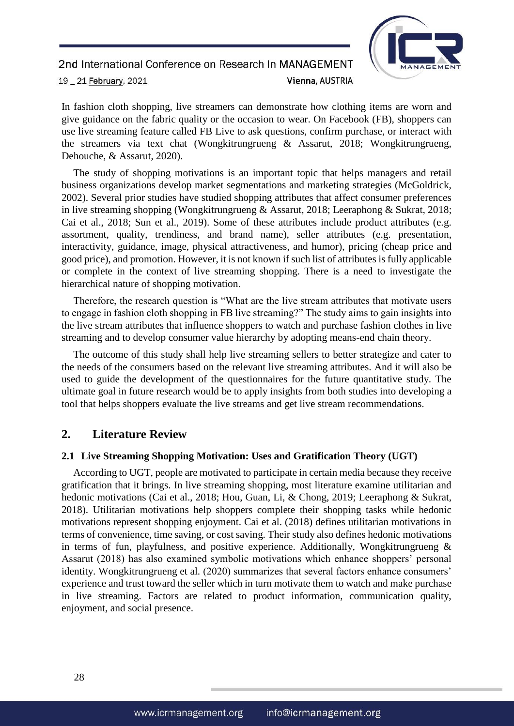

In fashion cloth shopping, live streamers can demonstrate how clothing items are worn and give guidance on the fabric quality or the occasion to wear. On Facebook (FB), shoppers can use live streaming feature called FB Live to ask questions, confirm purchase, or interact with the streamers via text chat (Wongkitrungrueng & Assarut, 2018; Wongkitrungrueng, Dehouche, & Assarut, 2020).

The study of shopping motivations is an important topic that helps managers and retail business organizations develop market segmentations and marketing strategies (McGoldrick, 2002). Several prior studies have studied shopping attributes that affect consumer preferences in live streaming shopping (Wongkitrungrueng & Assarut, 2018; Leeraphong & Sukrat, 2018; Cai et al., 2018; Sun et al., 2019). Some of these attributes include product attributes (e.g. assortment, quality, trendiness, and brand name), seller attributes (e.g. presentation, interactivity, guidance, image, physical attractiveness, and humor), pricing (cheap price and good price), and promotion. However, it is not known if such list of attributes is fully applicable or complete in the context of live streaming shopping. There is a need to investigate the hierarchical nature of shopping motivation.

Therefore, the research question is "What are the live stream attributes that motivate users to engage in fashion cloth shopping in FB live streaming?" The study aims to gain insights into the live stream attributes that influence shoppers to watch and purchase fashion clothes in live streaming and to develop consumer value hierarchy by adopting means-end chain theory.

The outcome of this study shall help live streaming sellers to better strategize and cater to the needs of the consumers based on the relevant live streaming attributes. And it will also be used to guide the development of the questionnaires for the future quantitative study. The ultimate goal in future research would be to apply insights from both studies into developing a tool that helps shoppers evaluate the live streams and get live stream recommendations.

# **2. Literature Review**

#### **2.1 Live Streaming Shopping Motivation: Uses and Gratification Theory (UGT)**

According to UGT, people are motivated to participate in certain media because they receive gratification that it brings. In live streaming shopping, most literature examine utilitarian and hedonic motivations (Cai et al., 2018; Hou, Guan, Li, & Chong, 2019; Leeraphong & Sukrat, 2018). Utilitarian motivations help shoppers complete their shopping tasks while hedonic motivations represent shopping enjoyment. Cai et al. (2018) defines utilitarian motivations in terms of convenience, time saving, or cost saving. Their study also defines hedonic motivations in terms of fun, playfulness, and positive experience. Additionally, Wongkitrungrueng  $\&$ Assarut (2018) has also examined symbolic motivations which enhance shoppers' personal identity. Wongkitrungrueng et al. (2020) summarizes that several factors enhance consumers' experience and trust toward the seller which in turn motivate them to watch and make purchase in live streaming. Factors are related to product information, communication quality, enjoyment, and social presence.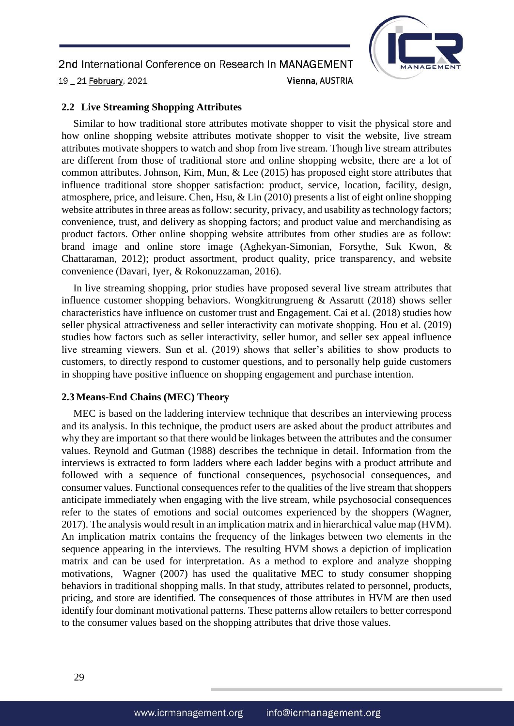

#### **2.2 Live Streaming Shopping Attributes**

Similar to how traditional store attributes motivate shopper to visit the physical store and how online shopping website attributes motivate shopper to visit the website, live stream attributes motivate shoppers to watch and shop from live stream. Though live stream attributes are different from those of traditional store and online shopping website, there are a lot of common attributes. Johnson, Kim, Mun, & Lee (2015) has proposed eight store attributes that influence traditional store shopper satisfaction: product, service, location, facility, design, atmosphere, price, and leisure. Chen, Hsu, & Lin (2010) presents a list of eight online shopping website attributes in three areas as follow: security, privacy, and usability as technology factors; convenience, trust, and delivery as shopping factors; and product value and merchandising as product factors. Other online shopping website attributes from other studies are as follow: brand image and online store image (Aghekyan-Simonian, Forsythe, Suk Kwon, & Chattaraman, 2012); product assortment, product quality, price transparency, and website convenience (Davari, Iyer, & Rokonuzzaman, 2016).

In live streaming shopping, prior studies have proposed several live stream attributes that influence customer shopping behaviors. Wongkitrungrueng & Assarutt (2018) shows seller characteristics have influence on customer trust and Engagement. Cai et al. (2018) studies how seller physical attractiveness and seller interactivity can motivate shopping. Hou et al. (2019) studies how factors such as seller interactivity, seller humor, and seller sex appeal influence live streaming viewers. Sun et al. (2019) shows that seller's abilities to show products to customers, to directly respond to customer questions, and to personally help guide customers in shopping have positive influence on shopping engagement and purchase intention.

#### **2.3 Means-End Chains (MEC) Theory**

MEC is based on the laddering interview technique that describes an interviewing process and its analysis. In this technique, the product users are asked about the product attributes and why they are important so that there would be linkages between the attributes and the consumer values. Reynold and Gutman (1988) describes the technique in detail. Information from the interviews is extracted to form ladders where each ladder begins with a product attribute and followed with a sequence of functional consequences, psychosocial consequences, and consumer values. Functional consequences refer to the qualities of the live stream that shoppers anticipate immediately when engaging with the live stream, while psychosocial consequences refer to the states of emotions and social outcomes experienced by the shoppers (Wagner, 2017). The analysis would result in an implication matrix and in hierarchical value map (HVM). An implication matrix contains the frequency of the linkages between two elements in the sequence appearing in the interviews. The resulting HVM shows a depiction of implication matrix and can be used for interpretation. As a method to explore and analyze shopping motivations, Wagner (2007) has used the qualitative MEC to study consumer shopping behaviors in traditional shopping malls. In that study, attributes related to personnel, products, pricing, and store are identified. The consequences of those attributes in HVM are then used identify four dominant motivational patterns. These patterns allow retailers to better correspond to the consumer values based on the shopping attributes that drive those values.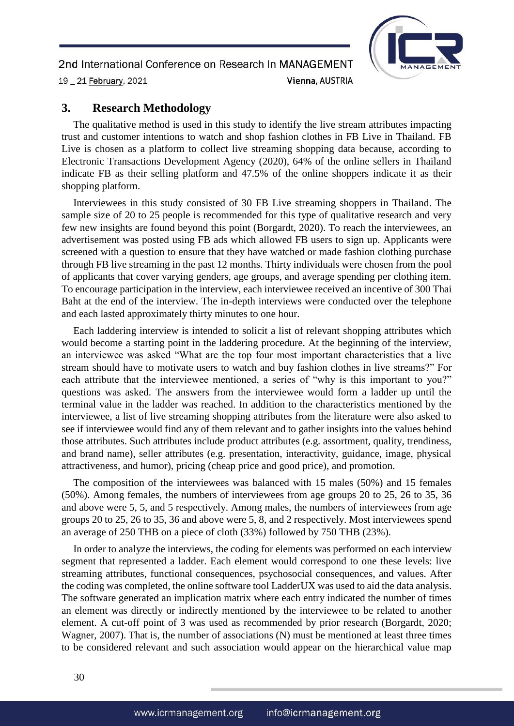

### **3. Research Methodology**

The qualitative method is used in this study to identify the live stream attributes impacting trust and customer intentions to watch and shop fashion clothes in FB Live in Thailand. FB Live is chosen as a platform to collect live streaming shopping data because, according to Electronic Transactions Development Agency (2020), 64% of the online sellers in Thailand indicate FB as their selling platform and 47.5% of the online shoppers indicate it as their shopping platform.

Interviewees in this study consisted of 30 FB Live streaming shoppers in Thailand. The sample size of 20 to 25 people is recommended for this type of qualitative research and very few new insights are found beyond this point (Borgardt, 2020). To reach the interviewees, an advertisement was posted using FB ads which allowed FB users to sign up. Applicants were screened with a question to ensure that they have watched or made fashion clothing purchase through FB live streaming in the past 12 months. Thirty individuals were chosen from the pool of applicants that cover varying genders, age groups, and average spending per clothing item. To encourage participation in the interview, each interviewee received an incentive of 300 Thai Baht at the end of the interview. The in-depth interviews were conducted over the telephone and each lasted approximately thirty minutes to one hour.

Each laddering interview is intended to solicit a list of relevant shopping attributes which would become a starting point in the laddering procedure. At the beginning of the interview, an interviewee was asked "What are the top four most important characteristics that a live stream should have to motivate users to watch and buy fashion clothes in live streams?" For each attribute that the interviewee mentioned, a series of "why is this important to you?" questions was asked. The answers from the interviewee would form a ladder up until the terminal value in the ladder was reached. In addition to the characteristics mentioned by the interviewee, a list of live streaming shopping attributes from the literature were also asked to see if interviewee would find any of them relevant and to gather insights into the values behind those attributes. Such attributes include product attributes (e.g. assortment, quality, trendiness, and brand name), seller attributes (e.g. presentation, interactivity, guidance, image, physical attractiveness, and humor), pricing (cheap price and good price), and promotion.

The composition of the interviewees was balanced with 15 males (50%) and 15 females (50%). Among females, the numbers of interviewees from age groups 20 to 25, 26 to 35, 36 and above were 5, 5, and 5 respectively. Among males, the numbers of interviewees from age groups 20 to 25, 26 to 35, 36 and above were 5, 8, and 2 respectively. Most interviewees spend an average of 250 THB on a piece of cloth (33%) followed by 750 THB (23%).

In order to analyze the interviews, the coding for elements was performed on each interview segment that represented a ladder. Each element would correspond to one these levels: live streaming attributes, functional consequences, psychosocial consequences, and values. After the coding was completed, the online software tool LadderUX was used to aid the data analysis. The software generated an implication matrix where each entry indicated the number of times an element was directly or indirectly mentioned by the interviewee to be related to another element. A cut-off point of 3 was used as recommended by prior research (Borgardt, 2020; Wagner, 2007). That is, the number of associations (N) must be mentioned at least three times to be considered relevant and such association would appear on the hierarchical value map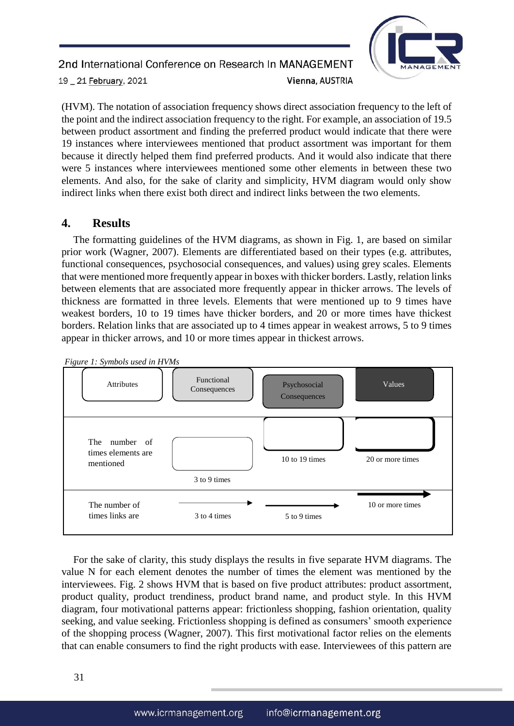

(HVM). The notation of association frequency shows direct association frequency to the left of the point and the indirect association frequency to the right. For example, an association of 19.5 between product assortment and finding the preferred product would indicate that there were 19 instances where interviewees mentioned that product assortment was important for them because it directly helped them find preferred products. And it would also indicate that there were 5 instances where interviewees mentioned some other elements in between these two elements. And also, for the sake of clarity and simplicity, HVM diagram would only show indirect links when there exist both direct and indirect links between the two elements.

# **4. Results**

The formatting guidelines of the HVM diagrams, as shown in Fig. 1, are based on similar prior work (Wagner, 2007). Elements are differentiated based on their types (e.g. attributes, functional consequences, psychosocial consequences, and values) using grey scales. Elements that were mentioned more frequently appear in boxes with thicker borders. Lastly, relation links between elements that are associated more frequently appear in thicker arrows. The levels of thickness are formatted in three levels. Elements that were mentioned up to 9 times have weakest borders, 10 to 19 times have thicker borders, and 20 or more times have thickest borders. Relation links that are associated up to 4 times appear in weakest arrows, 5 to 9 times appear in thicker arrows, and 10 or more times appear in thickest arrows.



For the sake of clarity, this study displays the results in five separate HVM diagrams. The value N for each element denotes the number of times the element was mentioned by the interviewees. Fig. 2 shows HVM that is based on five product attributes: product assortment, product quality, product trendiness, product brand name, and product style. In this HVM diagram, four motivational patterns appear: frictionless shopping, fashion orientation, quality seeking, and value seeking. Frictionless shopping is defined as consumers' smooth experience of the shopping process (Wagner, 2007). This first motivational factor relies on the elements that can enable consumers to find the right products with ease. Interviewees of this pattern are

*Figure 1: Symbols used in HVMs*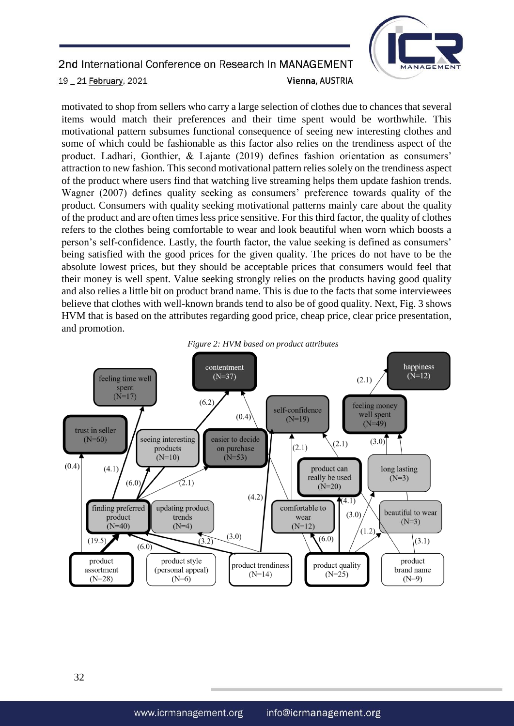

motivated to shop from sellers who carry a large selection of clothes due to chances that several items would match their preferences and their time spent would be worthwhile. This motivational pattern subsumes functional consequence of seeing new interesting clothes and some of which could be fashionable as this factor also relies on the trendiness aspect of the product. Ladhari, Gonthier, & Lajante (2019) defines fashion orientation as consumers' attraction to new fashion. This second motivational pattern relies solely on the trendiness aspect of the product where users find that watching live streaming helps them update fashion trends. Wagner (2007) defines quality seeking as consumers' preference towards quality of the product. Consumers with quality seeking motivational patterns mainly care about the quality of the product and are often times less price sensitive. For this third factor, the quality of clothes refers to the clothes being comfortable to wear and look beautiful when worn which boosts a person's self-confidence. Lastly, the fourth factor, the value seeking is defined as consumers' being satisfied with the good prices for the given quality. The prices do not have to be the absolute lowest prices, but they should be acceptable prices that consumers would feel that their money is well spent. Value seeking strongly relies on the products having good quality and also relies a little bit on product brand name. This is due to the facts that some interviewees believe that clothes with well-known brands tend to also be of good quality. Next, Fig. 3 shows HVM that is based on the attributes regarding good price, cheap price, clear price presentation, and promotion.



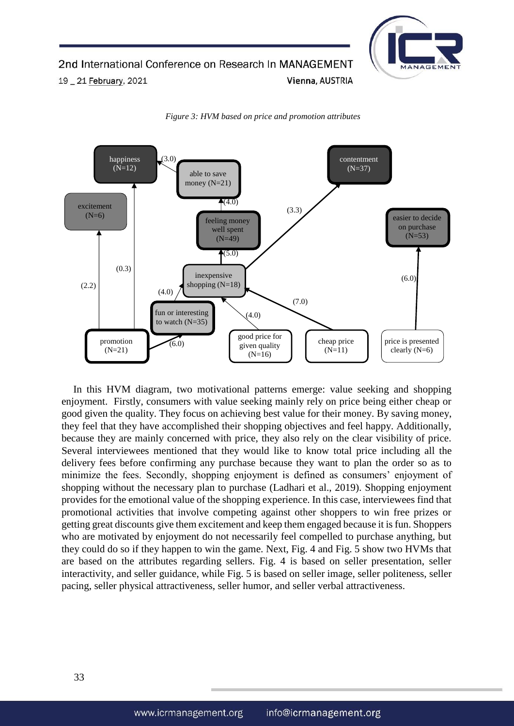



*Figure 3: HVM based on price and promotion attributes* 

In this HVM diagram, two motivational patterns emerge: value seeking and shopping enjoyment. Firstly, consumers with value seeking mainly rely on price being either cheap or good given the quality. They focus on achieving best value for their money. By saving money, they feel that they have accomplished their shopping objectives and feel happy. Additionally, because they are mainly concerned with price, they also rely on the clear visibility of price. Several interviewees mentioned that they would like to know total price including all the delivery fees before confirming any purchase because they want to plan the order so as to minimize the fees. Secondly, shopping enjoyment is defined as consumers' enjoyment of shopping without the necessary plan to purchase (Ladhari et al., 2019). Shopping enjoyment provides for the emotional value of the shopping experience. In this case, interviewees find that promotional activities that involve competing against other shoppers to win free prizes or getting great discounts give them excitement and keep them engaged because it is fun. Shoppers who are motivated by enjoyment do not necessarily feel compelled to purchase anything, but they could do so if they happen to win the game. Next, Fig. 4 and Fig. 5 show two HVMs that are based on the attributes regarding sellers. Fig. 4 is based on seller presentation, seller interactivity, and seller guidance, while Fig. 5 is based on seller image, seller politeness, seller pacing, seller physical attractiveness, seller humor, and seller verbal attractiveness.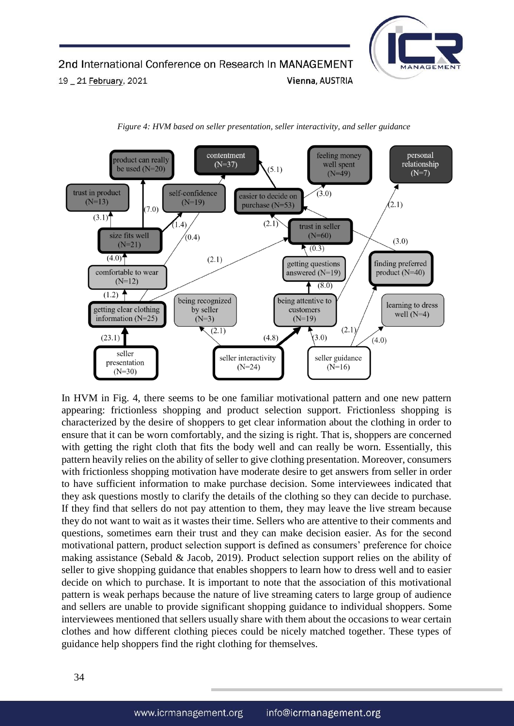





In HVM in Fig. 4, there seems to be one familiar motivational pattern and one new pattern appearing: frictionless shopping and product selection support. Frictionless shopping is characterized by the desire of shoppers to get clear information about the clothing in order to ensure that it can be worn comfortably, and the sizing is right. That is, shoppers are concerned with getting the right cloth that fits the body well and can really be worn. Essentially, this pattern heavily relies on the ability of seller to give clothing presentation. Moreover, consumers with frictionless shopping motivation have moderate desire to get answers from seller in order to have sufficient information to make purchase decision. Some interviewees indicated that they ask questions mostly to clarify the details of the clothing so they can decide to purchase. If they find that sellers do not pay attention to them, they may leave the live stream because they do not want to wait as it wastes their time. Sellers who are attentive to their comments and questions, sometimes earn their trust and they can make decision easier. As for the second motivational pattern, product selection support is defined as consumers' preference for choice making assistance (Sebald & Jacob, 2019). Product selection support relies on the ability of seller to give shopping guidance that enables shoppers to learn how to dress well and to easier decide on which to purchase. It is important to note that the association of this motivational pattern is weak perhaps because the nature of live streaming caters to large group of audience and sellers are unable to provide significant shopping guidance to individual shoppers. Some interviewees mentioned that sellers usually share with them about the occasions to wear certain clothes and how different clothing pieces could be nicely matched together. These types of guidance help shoppers find the right clothing for themselves.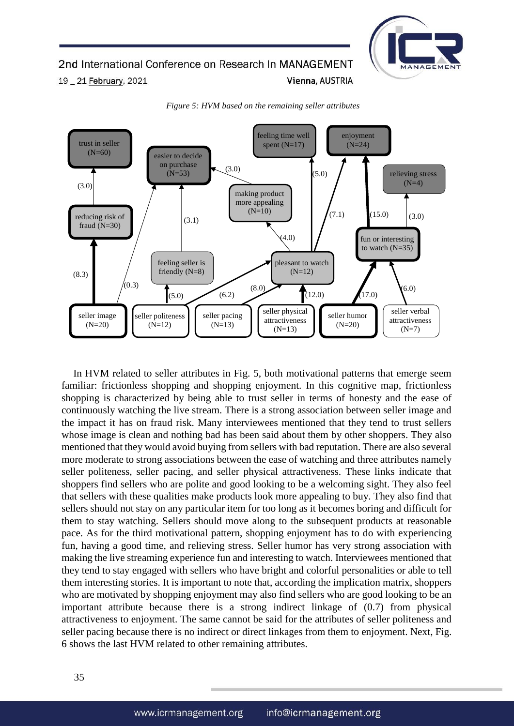



*Figure 5: HVM based on the remaining seller attributes* 

In HVM related to seller attributes in Fig. 5, both motivational patterns that emerge seem familiar: frictionless shopping and shopping enjoyment. In this cognitive map, frictionless shopping is characterized by being able to trust seller in terms of honesty and the ease of continuously watching the live stream. There is a strong association between seller image and the impact it has on fraud risk. Many interviewees mentioned that they tend to trust sellers whose image is clean and nothing bad has been said about them by other shoppers. They also mentioned that they would avoid buying from sellers with bad reputation. There are also several more moderate to strong associations between the ease of watching and three attributes namely seller politeness, seller pacing, and seller physical attractiveness. These links indicate that shoppers find sellers who are polite and good looking to be a welcoming sight. They also feel that sellers with these qualities make products look more appealing to buy. They also find that sellers should not stay on any particular item for too long as it becomes boring and difficult for them to stay watching. Sellers should move along to the subsequent products at reasonable pace. As for the third motivational pattern, shopping enjoyment has to do with experiencing fun, having a good time, and relieving stress. Seller humor has very strong association with making the live streaming experience fun and interesting to watch. Interviewees mentioned that they tend to stay engaged with sellers who have bright and colorful personalities or able to tell them interesting stories. It is important to note that, according the implication matrix, shoppers who are motivated by shopping enjoyment may also find sellers who are good looking to be an important attribute because there is a strong indirect linkage of (0.7) from physical attractiveness to enjoyment. The same cannot be said for the attributes of seller politeness and seller pacing because there is no indirect or direct linkages from them to enjoyment. Next, Fig. 6 shows the last HVM related to other remaining attributes.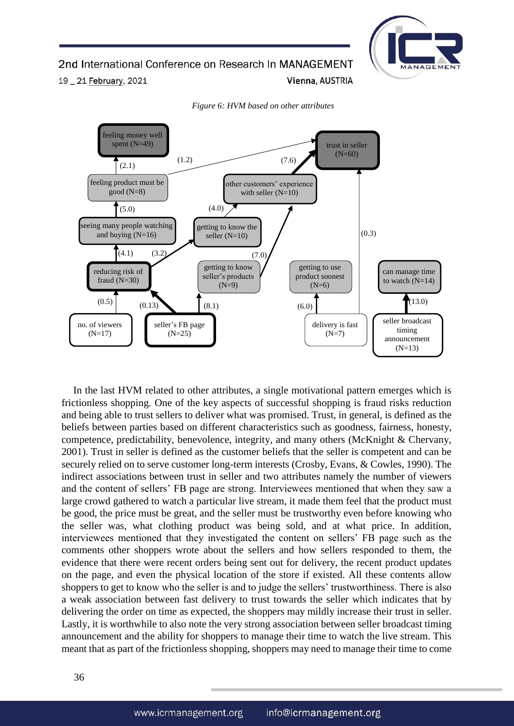# 2nd International Conference on Research In MANAGEMENT

19 \_ 21 February, 2021

*Figure 6: HVM based on other attributes* 

Vienna, AUSTRIA

MANAGE



In the last HVM related to other attributes, a single motivational pattern emerges which is frictionless shopping. One of the key aspects of successful shopping is fraud risks reduction and being able to trust sellers to deliver what was promised. Trust, in general, is defined as the beliefs between parties based on different characteristics such as goodness, fairness, honesty, competence, predictability, benevolence, integrity, and many others (McKnight & Chervany, 2001). Trust in seller is defined as the customer beliefs that the seller is competent and can be securely relied on to serve customer long-term interests (Crosby, Evans, & Cowles, 1990). The indirect associations between trust in seller and two attributes namely the number of viewers and the content of sellers' FB page are strong. Interviewees mentioned that when they saw a large crowd gathered to watch a particular live stream, it made them feel that the product must be good, the price must be great, and the seller must be trustworthy even before knowing who the seller was, what clothing product was being sold, and at what price. In addition, interviewees mentioned that they investigated the content on sellers' FB page such as the comments other shoppers wrote about the sellers and how sellers responded to them, the evidence that there were recent orders being sent out for delivery, the recent product updates on the page, and even the physical location of the store if existed. All these contents allow shoppers to get to know who the seller is and to judge the sellers' trustworthiness. There is also a weak association between fast delivery to trust towards the seller which indicates that by delivering the order on time as expected, the shoppers may mildly increase their trust in seller. Lastly, it is worthwhile to also note the very strong association between seller broadcast timing announcement and the ability for shoppers to manage their time to watch the live stream. This meant that as part of the frictionless shopping, shoppers may need to manage their time to come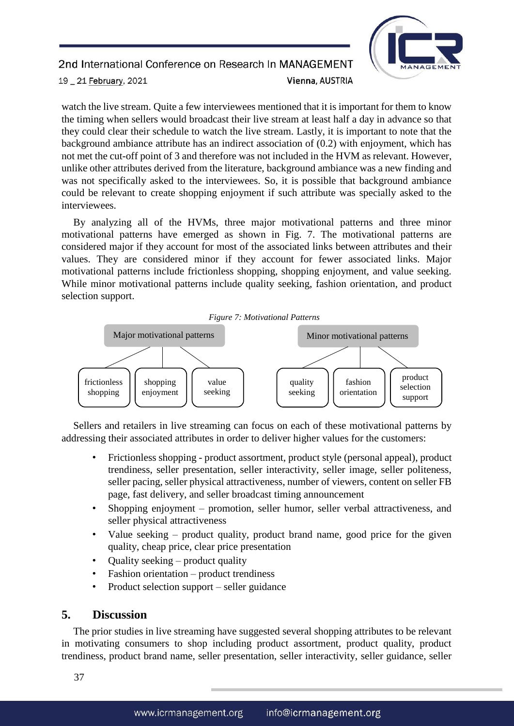

watch the live stream. Quite a few interviewees mentioned that it is important for them to know the timing when sellers would broadcast their live stream at least half a day in advance so that they could clear their schedule to watch the live stream. Lastly, it is important to note that the background ambiance attribute has an indirect association of (0.2) with enjoyment, which has not met the cut-off point of 3 and therefore was not included in the HVM as relevant. However, unlike other attributes derived from the literature, background ambiance was a new finding and was not specifically asked to the interviewees. So, it is possible that background ambiance could be relevant to create shopping enjoyment if such attribute was specially asked to the interviewees.

By analyzing all of the HVMs, three major motivational patterns and three minor motivational patterns have emerged as shown in Fig. 7. The motivational patterns are considered major if they account for most of the associated links between attributes and their values. They are considered minor if they account for fewer associated links. Major motivational patterns include frictionless shopping, shopping enjoyment, and value seeking. While minor motivational patterns include quality seeking, fashion orientation, and product selection support.





Sellers and retailers in live streaming can focus on each of these motivational patterns by addressing their associated attributes in order to deliver higher values for the customers:

- Frictionless shopping product assortment, product style (personal appeal), product trendiness, seller presentation, seller interactivity, seller image, seller politeness, seller pacing, seller physical attractiveness, number of viewers, content on seller FB page, fast delivery, and seller broadcast timing announcement
- Shopping enjoyment promotion, seller humor, seller verbal attractiveness, and seller physical attractiveness
- Value seeking product quality, product brand name, good price for the given quality, cheap price, clear price presentation
- Quality seeking product quality
- Fashion orientation product trendiness
- Product selection support seller guidance

### **5. Discussion**

The prior studies in live streaming have suggested several shopping attributes to be relevant in motivating consumers to shop including product assortment, product quality, product trendiness, product brand name, seller presentation, seller interactivity, seller guidance, seller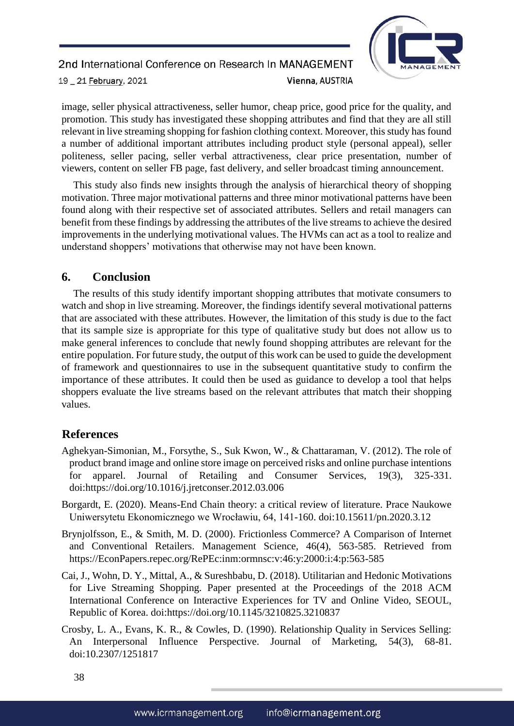

image, seller physical attractiveness, seller humor, cheap price, good price for the quality, and promotion. This study has investigated these shopping attributes and find that they are all still relevant in live streaming shopping for fashion clothing context. Moreover, this study has found a number of additional important attributes including product style (personal appeal), seller politeness, seller pacing, seller verbal attractiveness, clear price presentation, number of viewers, content on seller FB page, fast delivery, and seller broadcast timing announcement.

This study also finds new insights through the analysis of hierarchical theory of shopping motivation. Three major motivational patterns and three minor motivational patterns have been found along with their respective set of associated attributes. Sellers and retail managers can benefit from these findings by addressing the attributes of the live streams to achieve the desired improvements in the underlying motivational values. The HVMs can act as a tool to realize and understand shoppers' motivations that otherwise may not have been known.

# **6. Conclusion**

The results of this study identify important shopping attributes that motivate consumers to watch and shop in live streaming. Moreover, the findings identify several motivational patterns that are associated with these attributes. However, the limitation of this study is due to the fact that its sample size is appropriate for this type of qualitative study but does not allow us to make general inferences to conclude that newly found shopping attributes are relevant for the entire population. For future study, the output of this work can be used to guide the development of framework and questionnaires to use in the subsequent quantitative study to confirm the importance of these attributes. It could then be used as guidance to develop a tool that helps shoppers evaluate the live streams based on the relevant attributes that match their shopping values.

# **References**

- Aghekyan-Simonian, M., Forsythe, S., Suk Kwon, W., & Chattaraman, V. (2012). The role of product brand image and online store image on perceived risks and online purchase intentions for apparel. Journal of Retailing and Consumer Services, 19(3), 325-331. doi:https://doi.org/10.1016/j.jretconser.2012.03.006
- Borgardt, E. (2020). Means-End Chain theory: a critical review of literature. Prace Naukowe Uniwersytetu Ekonomicznego we Wrocławiu, 64, 141-160. doi:10.15611/pn.2020.3.12
- Brynjolfsson, E., & Smith, M. D. (2000). Frictionless Commerce? A Comparison of Internet and Conventional Retailers. Management Science, 46(4), 563-585. Retrieved from https://EconPapers.repec.org/RePEc:inm:ormnsc:v:46:y:2000:i:4:p:563-585
- Cai, J., Wohn, D. Y., Mittal, A., & Sureshbabu, D. (2018). Utilitarian and Hedonic Motivations for Live Streaming Shopping. Paper presented at the Proceedings of the 2018 ACM International Conference on Interactive Experiences for TV and Online Video, SEOUL, Republic of Korea. doi:https://doi.org/10.1145/3210825.3210837
- Crosby, L. A., Evans, K. R., & Cowles, D. (1990). Relationship Quality in Services Selling: An Interpersonal Influence Perspective. Journal of Marketing, 54(3), 68-81. doi:10.2307/1251817

38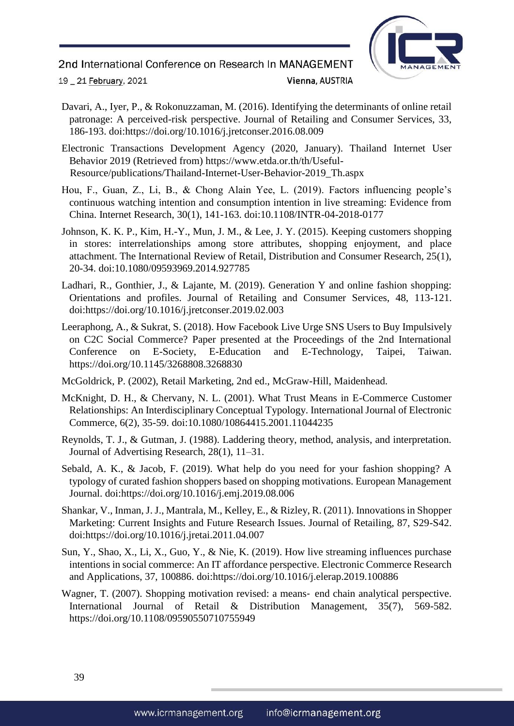2nd International Conference on Research In MANAGEMENT



19 \_ 21 February, 2021

### Vienna, AUSTRIA

- Davari, A., Iyer, P., & Rokonuzzaman, M. (2016). Identifying the determinants of online retail patronage: A perceived-risk perspective. Journal of Retailing and Consumer Services, 33, 186-193. doi:https://doi.org/10.1016/j.jretconser.2016.08.009
- Electronic Transactions Development Agency (2020, January). Thailand Internet User Behavior 2019 (Retrieved from) https://www.etda.or.th/th/Useful-Resource/publications/Thailand-Internet-User-Behavior-2019\_Th.aspx
- Hou, F., Guan, Z., Li, B., & Chong Alain Yee, L. (2019). Factors influencing people's continuous watching intention and consumption intention in live streaming: Evidence from China. Internet Research, 30(1), 141-163. doi:10.1108/INTR-04-2018-0177
- Johnson, K. K. P., Kim, H.-Y., Mun, J. M., & Lee, J. Y. (2015). Keeping customers shopping in stores: interrelationships among store attributes, shopping enjoyment, and place attachment. The International Review of Retail, Distribution and Consumer Research, 25(1), 20-34. doi:10.1080/09593969.2014.927785
- Ladhari, R., Gonthier, J., & Lajante, M. (2019). Generation Y and online fashion shopping: Orientations and profiles. Journal of Retailing and Consumer Services, 48, 113-121. doi:https://doi.org/10.1016/j.jretconser.2019.02.003
- Leeraphong, A., & Sukrat, S. (2018). How Facebook Live Urge SNS Users to Buy Impulsively on C2C Social Commerce? Paper presented at the Proceedings of the 2nd International Conference on E-Society, E-Education and E-Technology, Taipei, Taiwan. https://doi.org/10.1145/3268808.3268830
- McGoldrick, P. (2002), Retail Marketing, 2nd ed., McGraw-Hill, Maidenhead.
- McKnight, D. H., & Chervany, N. L. (2001). What Trust Means in E-Commerce Customer Relationships: An Interdisciplinary Conceptual Typology. International Journal of Electronic Commerce, 6(2), 35-59. doi:10.1080/10864415.2001.11044235
- Reynolds, T. J., & Gutman, J. (1988). Laddering theory, method, analysis, and interpretation. Journal of Advertising Research, 28(1), 11–31.
- Sebald, A. K., & Jacob, F. (2019). What help do you need for your fashion shopping? A typology of curated fashion shoppers based on shopping motivations. European Management Journal. doi:https://doi.org/10.1016/j.emj.2019.08.006
- Shankar, V., Inman, J. J., Mantrala, M., Kelley, E., & Rizley, R. (2011). Innovations in Shopper Marketing: Current Insights and Future Research Issues. Journal of Retailing, 87, S29-S42. doi:https://doi.org/10.1016/j.jretai.2011.04.007
- Sun, Y., Shao, X., Li, X., Guo, Y., & Nie, K. (2019). How live streaming influences purchase intentions in social commerce: An IT affordance perspective. Electronic Commerce Research and Applications, 37, 100886. doi:https://doi.org/10.1016/j.elerap.2019.100886
- Wagner, T. (2007). Shopping motivation revised: a means- end chain analytical perspective. International Journal of Retail & Distribution Management, 35(7), 569-582. https://doi.org/10.1108/09590550710755949